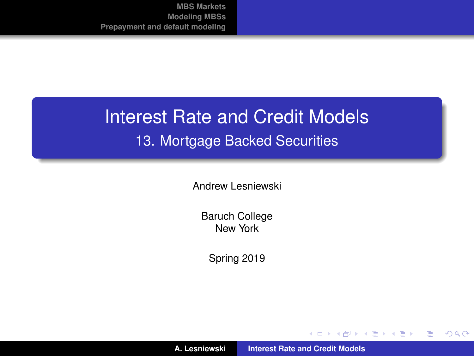## Interest Rate and Credit Models 13. Mortgage Backed Securities

Andrew Lesniewski

Baruch College New York

Spring 2019

**A. Lesniewski [Interest Rate and Credit Models](#page-50-0)**

メロトメ 伊 トメ ミトメ ミト

<span id="page-0-0"></span>重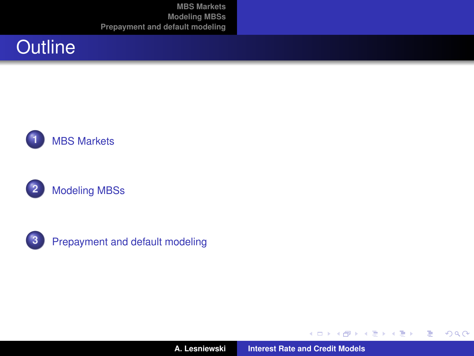







**3** [Prepayment and default modeling](#page-33-0)

**A. Lesniewski [Interest Rate and Credit Models](#page-0-0)**

(ロ) (包)

→ 重き + 重き。

重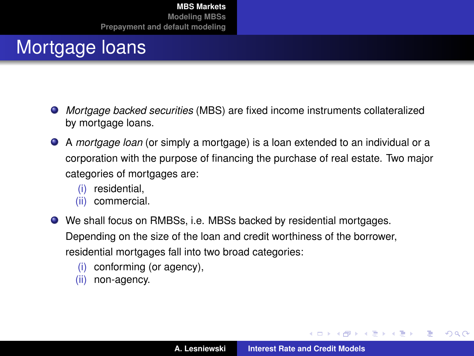## Mortgage loans

- *Mortgage backed securities* (MBS) are fixed income instruments collateralized by mortgage loans.
- A *mortgage loan* (or simply a mortgage) is a loan extended to an individual or a corporation with the purpose of financing the purchase of real estate. Two major categories of mortgages are:
	- (i) residential,
	- (ii) commercial.
- We shall focus on RMBSs, i.e. MBSs backed by residential mortgages. Depending on the size of the loan and credit worthiness of the borrower, residential mortgages fall into two broad categories:
	- (i) conforming (or agency),
	- (ii) non-agency.

イロメ イ部メ イヨメ イヨメー

<span id="page-2-0"></span>重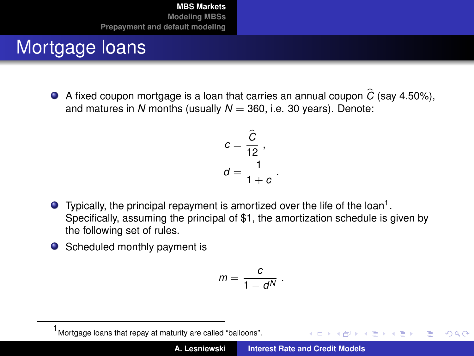## Mortgage loans

A fixed coupon mortgage is a loan that carries an annual coupon  $\hat{C}$  (say 4.50%), and matures in *N* months (usually  $N = 360$ , i.e. 30 years). Denote:

$$
c = \frac{\widehat{C}}{12},
$$
  

$$
d = \frac{1}{1+c}
$$

.

.

 $\left\{ \begin{array}{ccc} 1 & 0 & 0 \\ 0 & 1 & 0 \end{array} \right.$ 

 $QQQ$ 

- Typically, the principal repayment is amortized over the life of the loan<sup>1</sup>. Specifically, assuming the principal of \$1, the amortization schedule is given by the following set of rules.
- Scheduled monthly payment is

$$
m=\frac{c}{1-d^N}
$$

<sup>1</sup> Mortgage loans that repay at maturity are called "balloons".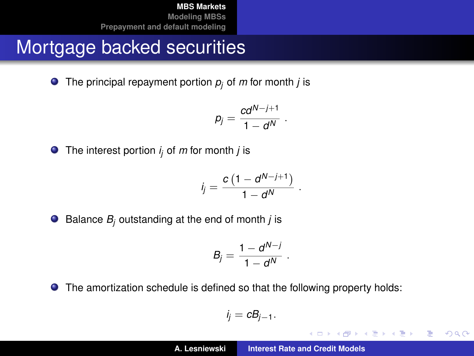## Mortgage backed securities

 $\bullet$  The principal repayment portion  $p_i$  of *m* for month *j* is

$$
p_j=\frac{cd^{N-j+1}}{1-d^N}.
$$

The interest portion *i <sup>j</sup>* of *m* for month *j* is

$$
i_j=\frac{c\left(1-d^{N-j+1}\right)}{1-d^N}
$$

.

K ロ ⊁ K 伊 ⊁ K 君 ⊁ K 君 ⊁ …

 $2Q$ 重

 $\bullet$  Balance  $B_i$  outstanding at the end of month *j* is

$$
B_j = \frac{1 - d^{N-j}}{1 - d^N} \; .
$$

The amortization schedule is defined so that the following property holds:

$$
i_j=cB_{j-1}.
$$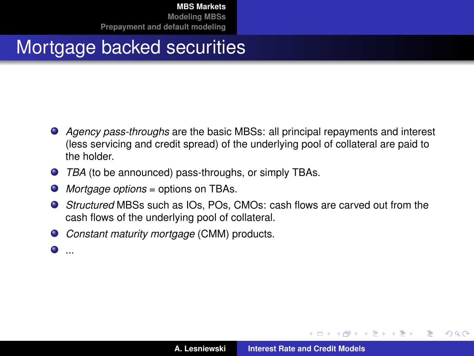## Mortgage backed securities

- *Agency pass-throughs* are the basic MBSs: all principal repayments and interest (less servicing and credit spread) of the underlying pool of collateral are paid to the holder.
- *TBA* (to be announced) pass-throughs, or simply TBAs.
- $\bullet$ *Mortgage options* = options on TBAs.
- *Structured* MBSs such as IOs, POs, CMOs: cash flows are carved out from the cash flows of the underlying pool of collateral.
- *Constant maturity mortgage* (CMM) products.
- $\bullet$  ...

イロメ イ部メ イヨメ イヨメー

 $299$ 

Þ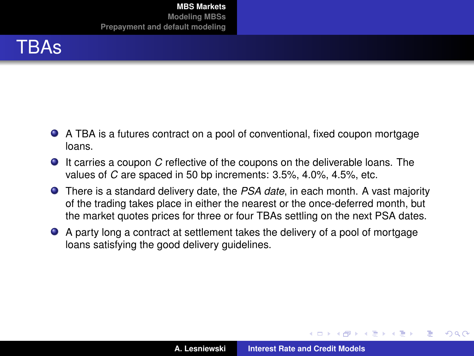

- A TBA is a futures contract on a pool of conventional, fixed coupon mortgage loans.
- It carries a coupon *C* reflective of the coupons on the deliverable loans. The values of *C* are spaced in 50 bp increments: 3.5%, 4.0%, 4.5%, etc.
- There is a standard delivery date, the *PSA date*, in each month. A vast majority of the trading takes place in either the nearest or the once-deferred month, but the market quotes prices for three or four TBAs settling on the next PSA dates.
- A party long a contract at settlement takes the delivery of a pool of mortgage loans satisfying the good delivery guidelines.

 $\left\{ \begin{array}{ccc} 1 & 0 & 0 \\ 0 & 1 & 0 \end{array} \right.$ 

 $QQ$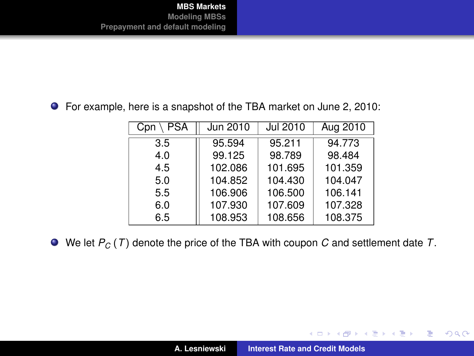For example, here is a snapshot of the TBA market on June 2, 2010:

| PSA<br>Cpn | Jun 2010 | Jul 2010 | Aug 2010 |
|------------|----------|----------|----------|
| 3.5        | 95.594   | 95.211   | 94.773   |
| 4.0        | 99.125   | 98.789   | 98.484   |
| 4.5        | 102.086  | 101.695  | 101.359  |
| 5.0        | 104.852  | 104.430  | 104.047  |
| 5.5        | 106.906  | 106.500  | 106.141  |
| 6.0        | 107.930  | 107.609  | 107.328  |
| 6.5        | 108.953  | 108.656  | 108.375  |

We let *P<sup>C</sup>* (*T*) denote the price of the TBA with coupon *C* and settlement date *T*.

イロトメ 御 トメ 君 トメ 君 トー

重。  $299$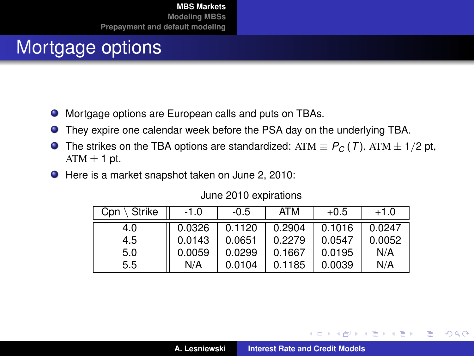## Mortgage options

- $\bullet$ Mortgage options are European calls and puts on TBAs.
- They expire one calendar week before the PSA day on the underlying TBA.
- The strikes on the TBA options are standardized: ATM  $\equiv P_C(T)$ , ATM  $\pm 1/2$  pt,  $\bullet$  $ATM \pm 1$  pt.
- Here is a market snapshot taken on June 2, 2010:

| \ Strike<br>Cpn | $-1.0$ | $-0.5$ | ATM    | $+0.5$ | $+1.0$ |
|-----------------|--------|--------|--------|--------|--------|
| 4.0             | 0.0326 | 0.1120 | 0.2904 | 0.1016 | 0.0247 |
| 4.5             | 0.0143 | 0.0651 | 0.2279 | 0.0547 | 0.0052 |
| 5.0             | 0.0059 | 0.0299 | 0.1667 | 0.0195 | N/A    |
| 5.5             | N/A    | 0.0104 | 0.1185 | 0.0039 | N/A    |

#### June 2010 expirations

 $299$ 

重

(ロ) (個) (目) (目)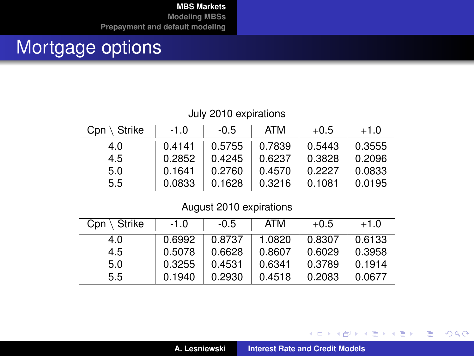## Mortgage options

#### July 2010 expirations

| Strike<br>Cpn | -1.0   | $-0.5$ | ATM    | $+0.5$ | $+1.0$ |
|---------------|--------|--------|--------|--------|--------|
| 4.0           | 0.4141 | 0.5755 | 0.7839 | 0.5443 | 0.3555 |
| 4.5           | 0.2852 | 0.4245 | 0.6237 | 0.3828 | 0.2096 |
| 5.0           | 0.1641 | 0.2760 | 0.4570 | 0.2227 | 0.0833 |
| 5.5           | 0.0833 | 0.1628 | 0.3216 | 0.1081 | 0.0195 |

#### August 2010 expirations

| Strike<br>Cpn | -1.0   | $-0.5$ | ATM    | $+0.5$ | $+1.0$ |
|---------------|--------|--------|--------|--------|--------|
| 4.0           | 0.6992 | 0.8737 | 1.0820 | 0.8307 | 0.6133 |
| 4.5           | 0.5078 | 0.6628 | 0.8607 | 0.6029 | 0.3958 |
| 5.0           | 0.3255 | 0.4531 | 0.6341 | 0.3789 | 0.1914 |
| 5.5           | 0.1940 | 0.2930 | 0.4518 | 0.2083 | 0.0677 |

イロメ イ部メ イ君メ イ君メー

重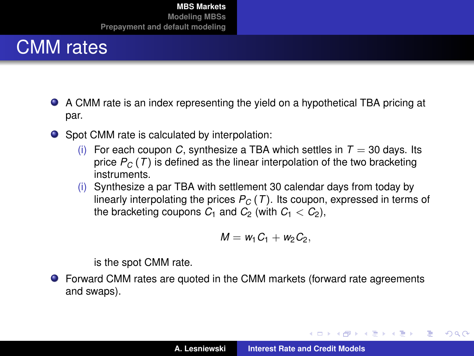

- A CMM rate is an index representing the yield on a hypothetical TBA pricing at par.
- Spot CMM rate is calculated by interpolation:
	- (i) For each coupon *C*, synthesize a TBA which settles in  $T = 30$  days. Its price  $P_C(T)$  is defined as the linear interpolation of the two bracketing instruments.
	- (i) Synthesize a par TBA with settlement 30 calendar days from today by linearly interpolating the prices  $P_C(T)$ . Its coupon, expressed in terms of the bracketing coupons  $C_1$  and  $C_2$  (with  $C_1 < C_2$ ),

$$
\hskip 10mm M=w_1\hskip 1mm C_1+w_2\hskip 1mm C_2,
$$

is the spot CMM rate.

Forward CMM rates are quoted in the CMM markets (forward rate agreements and swaps).

イロメ イ部メ イヨメ イヨメー

Þ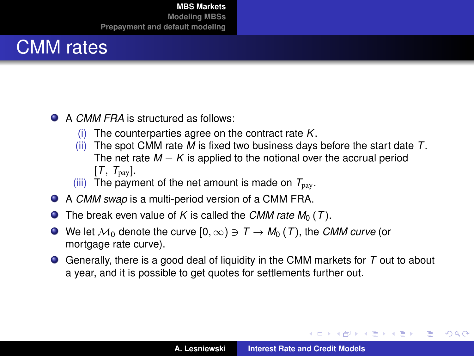## CMM rates

- **A CMM FRA** is structured as follows:
	- (i) The counterparties agree on the contract rate *K*.
	- (ii) The spot CMM rate *M* is fixed two business days before the start date *T*. The net rate  $M - K$  is applied to the notional over the accrual period  $[T, T_{\text{pay}}]$ .
	- (iii) The payment of the net amount is made on  $T_{\text{nav}}$ .
- A *CMM swap* is a multi-period version of a CMM FRA.
- $\bullet$  The break even value of *K* is called the *CMM rate M*<sub>0</sub> (*T*).
- $\bullet$  We let  $\mathcal{M}_0$  denote the curve  $[0, \infty) \ni \mathcal{T} \to \mathcal{M}_0(\mathcal{T})$ , the *CMM curve* (or mortgage rate curve).
- Generally, there is a good deal of liquidity in the CMM markets for *T* out to about a year, and it is possible to get quotes for settlements further out.

(ロトス個) (運) (運)

<span id="page-11-0"></span>Þ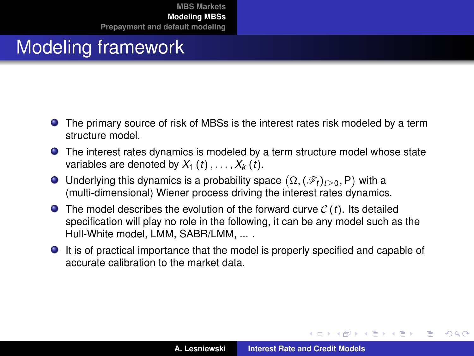- The primary source of risk of MBSs is the interest rates risk modeled by a term structure model.
- The interest rates dynamics is modeled by a term structure model whose state variables are denoted by  $X_1$  (*t*), ...,  $X_k$  (*t*).
- Underlying this dynamics is a probability space  $(\Omega, (\mathscr{F}_t)_{t\geq 0}, \mathsf{P})$  with a (multi-dimensional) Wiener process driving the interest rates dynamics.
- $\bullet$  The model describes the evolution of the forward curve  $C(t)$ . Its detailed specification will play no role in the following, it can be any model such as the Hull-White model, LMM, SABR/LMM, ... .
- It is of practical importance that the model is properly specified and capable of accurate calibration to the market data.

イロメ イ部メ イ君メ イ君メー

<span id="page-12-0"></span>Þ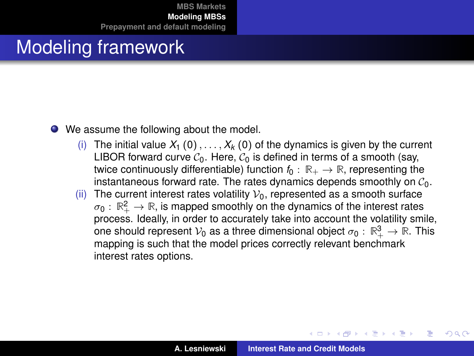## Modeling framework

- We assume the following about the model.
	- (i) The initial value  $X_1$  (0), ...,  $X_k$  (0) of the dynamics is given by the current LIBOR forward curve  $C_0$ . Here,  $C_0$  is defined in terms of a smooth (say, twice continuously differentiable) function  $f_0 : \mathbb{R}_+ \to \mathbb{R}$ , representing the instantaneous forward rate. The rates dynamics depends smoothly on  $C_0$ .
	- (ii) The current interest rates volatility  $V_0$ , represented as a smooth surface  $\sigma_0: \, \mathbb{R}_+^2 \to \mathbb{R}$ , is mapped smoothly on the dynamics of the interest rates process. Ideally, in order to accurately take into account the volatility smile, one should represent  $\mathcal{V}_0$  as a three dimensional object  $\sigma_0: \mathbb{R}^3_+ \to \mathbb{R}$ . This mapping is such that the model prices correctly relevant benchmark interest rates options.

(ロトス個) (運) (運)

Þ

 $QQQ$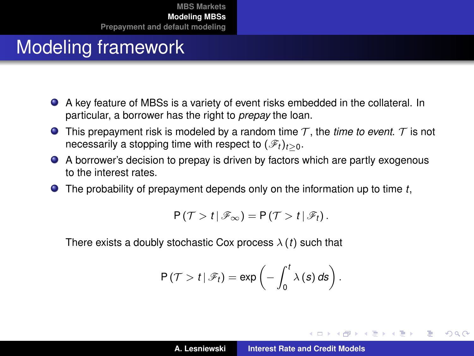- A key feature of MBSs is a variety of event risks embedded in the collateral. In particular, a borrower has the right to *prepay* the loan.
- **This prepayment risk is modeled by a random time**  $T$ **, the** *time to event.* **T is not** necessarily a stopping time with respect to  $(\mathscr{F}_t)_{t>0}$ .
- A borrower's decision to prepay is driven by factors which are partly exogenous to the interest rates.
- The probability of prepayment depends only on the information up to time *t*,

$$
P(\mathcal{T} > t | \mathscr{F}_{\infty}) = P(\mathcal{T} > t | \mathscr{F}_{t}).
$$

There exists a doubly stochastic Cox process  $\lambda(t)$  such that

$$
P(\mathcal{T} > t | \mathscr{F}_t) = \exp \left(-\int_0^t \lambda(s) \, ds\right).
$$

イロメ イ部メ イヨメ イヨメー

Þ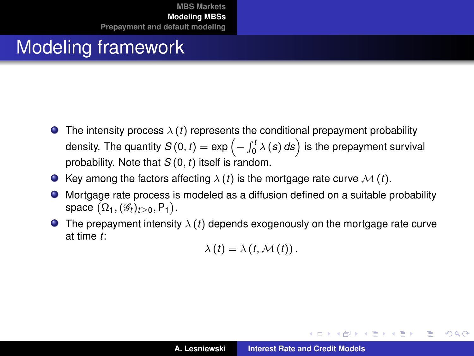- **The intensity process**  $\lambda(t)$  represents the conditional prepayment probability density. The quantity  $\mathcal{S}\left(0,t\right)=\exp\left(-\int_{0}^{t}\lambda\left(\boldsymbol{s}\right)d\boldsymbol{s}\right)$  is the prepayment survival probability. Note that *S* (0, *t*) itself is random.
- **O** Key among the factors affecting  $\lambda(t)$  is the mortgage rate curve  $\mathcal{M}(t)$ .
- Mortgage rate process is modeled as a diffusion defined on a suitable probability  $\bullet$ space  $(\Omega_1, (\mathscr{G}_t)_{t\geq 0}, \mathsf{P}_1)$ .
- **The prepayment intensity**  $\lambda(t)$  depends exogenously on the mortgage rate curve at time *t*:

$$
\lambda(t)=\lambda(t,\mathcal{M}(t)).
$$

**K ロ ト K 御 ト K 君 ト K 君 ト** …

B

 $QQQ$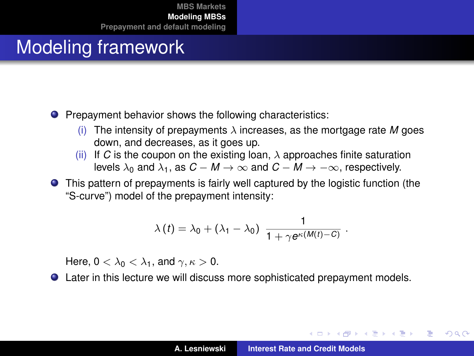- **•** Prepayment behavior shows the following characteristics:
	- (i) The intensity of prepayments  $\lambda$  increases, as the mortgage rate M goes down, and decreases, as it goes up.
	- (ii) If *C* is the coupon on the existing loan,  $\lambda$  approaches finite saturation levels  $\lambda_0$  and  $\lambda_1$ , as  $C - M \rightarrow \infty$  and  $C - M \rightarrow -\infty$ , respectively.
- This pattern of prepayments is fairly well captured by the logistic function (the "S-curve") model of the prepayment intensity:

$$
\lambda(t) = \lambda_0 + (\lambda_1 - \lambda_0) \frac{1}{1 + \gamma e^{\kappa(M(t) - C)}}.
$$

Here,  $0 < \lambda_0 < \lambda_1$ , and  $\gamma, \kappa > 0$ .

Later in this lecture we will discuss more sophisticated prepayment models.

イロメ イ部メ イヨメ イヨメー

<span id="page-16-0"></span>Þ

 $QQ$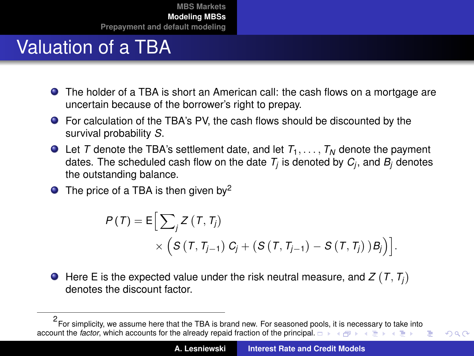## Valuation of a TBA

- The holder of a TBA is short an American call: the cash flows on a mortgage are uncertain because of the borrower's right to prepay.
- For calculation of the TBA's PV, the cash flows should be discounted by the survival probability *S*.
- $\bullet$  Let *T* denote the TBA's settlement date, and let  $T_1, \ldots, T_N$  denote the payment dates. The scheduled cash flow on the date  $\mathcal{T}_j$  is denoted by  $\mathcal{C}_j$ , and  $\mathcal{B}_j$  denotes the outstanding balance.
- $\bullet$  The price of a TBA is then given by<sup>2</sup>

<span id="page-17-0"></span>
$$
P(T) = \mathsf{E}\Big[\sum_{j} Z(T, T_{j})
$$
  
 
$$
\times \Big(S(T, T_{j-1}) C_j + (S(T, T_{j-1}) - S(T, T_j)) B_j\Big)\Big].
$$

Here E is the expected value under the risk neutral measure, and  $Z\left( T,T_{j}\right)$ denotes the discount factor.

<sup>2</sup> For simplicity, we assume here that the TBA is brand new. For seasoned poo[ls,](#page-18-0) [it i](#page-16-0)[s ne](#page-17-0)[c](#page-18-0)[es](#page-11-0)[sa](#page-12-0)[ry](#page-32-0) [t](#page-33-0)[o t](#page-11-0)[ak](#page-12-0)[e](#page-32-0) [in](#page-33-0)[to](#page-0-0) account the *factor*, which accounts for the already repaid fraction of the princi[pal.](#page-16-0)  $\Box \rightarrow \Box \Box \rightarrow \Box \Box \rightarrow \Box$ Ξ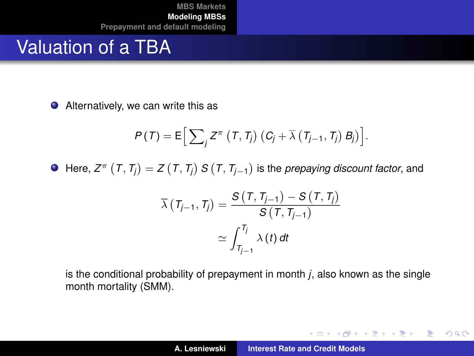### Valuation of a TBA

● Alternatively, we can write this as

$$
P(T) = \mathsf{E}\Big[\sum_j Z^{\pi}\left(T, T_j\right)\left(C_j + \overline{\lambda}\left(T_{j-1}, T_j\right) B_j\right)\Big].
$$

Here,  $Z^{\pi} \, \left( T, T_{j} \right) = Z \left( T, T_{j} \right) S \left( T, T_{j-1} \right)$  is the *prepaying discount factor*, and

$$
\overline{\lambda} (T_{j-1}, T_j) = \frac{S (T, T_{j-1}) - S (T, T_j)}{S (T, T_{j-1})}
$$

$$
\simeq \int_{T_{j-1}}^{T_j} \lambda (t) dt
$$

is the conditional probability of prepayment in month *j*, also known as the single month mortality (SMM).

<span id="page-18-0"></span>K ロ ▶ K 御 ▶ K 重 ▶ K 重 ▶ 三重 → 約 Q @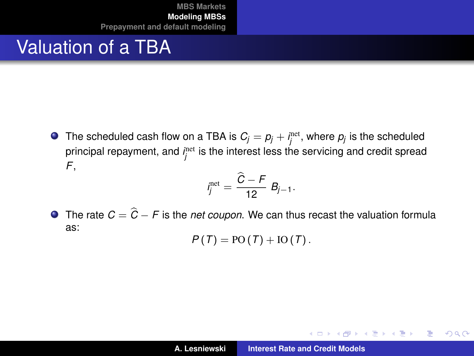## Valuation of a TBA

The scheduled cash flow on a TBA is  $C_j = \rho_j + i^\text{net}_j,$  where  $\rho_j$  is the scheduled principal repayment, and *i*<sup>net</sup> is the interest less the servicing and credit spread *F*,

$$
i_j^{\text{net}} = \frac{\widehat{C} - F}{12} B_{j-1}.
$$

 $\bullet$  The rate  $C = \hat{C} - F$  is the *net coupon*. We can thus recast the valuation formula as:

$$
P(T) = \text{PO}(T) + \text{IO}(T).
$$

イロトメ 御 トメ 君 トメ 君 トー

 $2Q$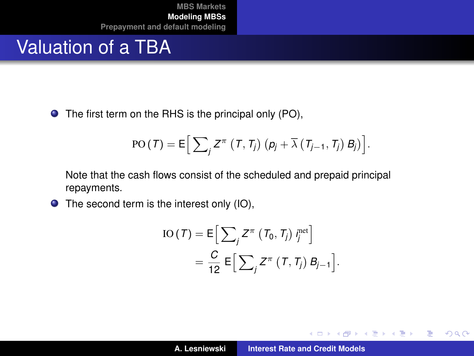#### Valuation of a TBA

● The first term on the RHS is the principal only (PO),

$$
PO(T) = E\Big[\sum_{j} Z^{\pi}\left(T, T_{j}\right) \left(p_{j} + \overline{\lambda}\left(T_{j-1}, T_{j}\right) B_{j}\right)\Big].
$$

Note that the cash flows consist of the scheduled and prepaid principal repayments.

● The second term is the interest only (IO),

$$
IO(T) = E\Big[\sum_{j} Z^{\pi} (T_0, T_j) t_j^{\text{net}}\Big]
$$
  
= 
$$
\frac{C}{12} E\Big[\sum_{j} Z^{\pi} (T, T_j) B_{j-1}\Big].
$$

イロメ イ部メ イヨメ イヨメー

 $298$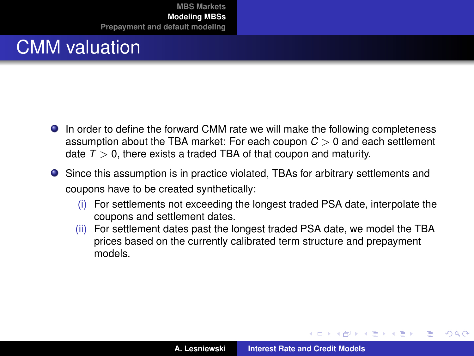# CMM valuation

- In order to define the forward CMM rate we will make the following completeness assumption about the TBA market: For each coupon *C* > 0 and each settlement date  $T > 0$ , there exists a traded TBA of that coupon and maturity.
- Since this assumption is in practice violated, TBAs for arbitrary settlements and coupons have to be created synthetically:
	- (i) For settlements not exceeding the longest traded PSA date, interpolate the coupons and settlement dates.
	- (ii) For settlement dates past the longest traded PSA date, we model the TBA prices based on the currently calibrated term structure and prepayment models.

イロメ イ部メ イ君メ イ君メー

 $QQ$ 

Þ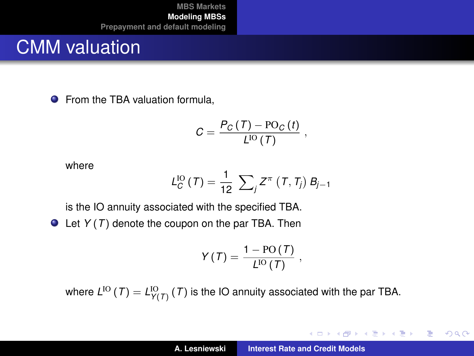#### CMM valuation

**•** From the TBA valuation formula,

$$
C = \frac{P_C(T) - \text{PO}_C(t)}{L^{IO}(T)},
$$

where

$$
L_C^{IO} (T) = \frac{1}{12} \sum_j Z^{\pi} (T, T_j) B_{j-1}
$$

is the IO annuity associated with the specified TBA.

Let *Y* (*T*) denote the coupon on the par TBA. Then

$$
Y\left( \mathcal{T}\right) =\frac{1-\text{PO}\left( \mathcal{T}\right) }{L^{\text{IO}}\left( \mathcal{T}\right) }\text{ ,}
$$

where  $L^{\text{IO}}\left( T \right) = L^{\text{IO}}_{Y\left( T \right)}\left( T \right)$  is the IO annuity associated with the par TBA.

K ロ ⊁ K 伊 ⊁ K 君 ⊁ K 君 ⊁ …

唐山  $2990$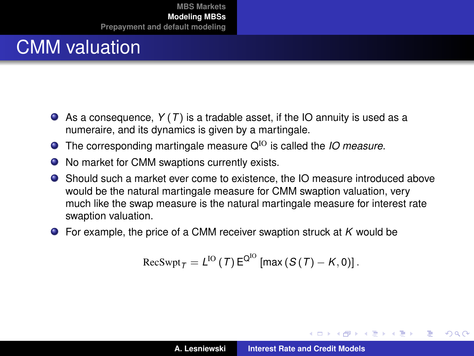## CMM valuation

- As a consequence, *Y* (*T*) is a tradable asset, if the IO annuity is used as a numeraire, and its dynamics is given by a martingale.
- **The corresponding martingale measure Q<sup>IO</sup> is called the** *IO measure***.**
- No market for CMM swaptions currently exists.
- Should such a market ever come to existence, the IO measure introduced above would be the natural martingale measure for CMM swaption valuation, very much like the swap measure is the natural martingale measure for interest rate swaption valuation.
- For example, the price of a CMM receiver swaption struck at *K* would be

$$
\text{RecSwpt}_{\mathcal{T}} = L^{IO}(\mathcal{T}) E^{Q^{IO}}[\max(S(\mathcal{T}) - K, 0)].
$$

 $\left\{ \begin{array}{ccc} 1 & 0 & 0 \\ 0 & 1 & 0 \end{array} \right.$ 

 $299$ 

Þ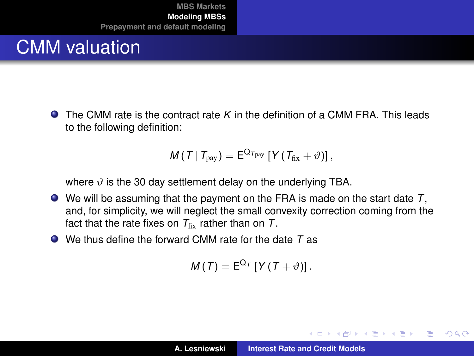# CMM valuation

The CMM rate is the contract rate *K* in the definition of a CMM FRA. This leads to the following definition:

$$
M(T | T_{\text{pay}}) = E^{Q_{T_{\text{pay}}}} [Y (T_{\text{fix}} + \vartheta)],
$$

where  $\vartheta$  is the 30 day settlement delay on the underlying TBA.

- We will be assuming that the payment on the FRA is made on the start date *T*, and, for simplicity, we will neglect the small convexity correction coming from the fact that the rate fixes on  $T_{\text{fix}}$  rather than on  $T$ .
- We thus define the forward CMM rate for the date *T* as

$$
M(T) = \mathsf{E}^{\mathsf{Q}_T} \left[ Y(T+\vartheta) \right].
$$

K ロ ▶ K 御 ▶ K 唐 ▶ K 唐 ▶

Þ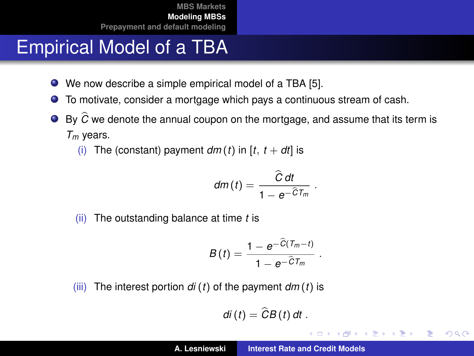## Empirical Model of a TBA

- We now describe a simple empirical model of a TBA [\[5\]](#page-50-1).  $\bullet$
- $\bullet$ To motivate, consider a mortgage which pays a continuous stream of cash.
- $\bullet$  By  $\widehat{C}$  we denote the annual coupon on the mortgage, and assume that its term is *Tm* years.
	- (i) The (constant) payment  $dm(t)$  in  $[t, t+dt]$  is

$$
dm(t)=\frac{\widehat{C}\,dt}{1-e^{-\widehat{C}T_m}}\;.
$$

(ii) The outstanding balance at time *t* is

$$
B(t)=\frac{1-e^{-\widehat{C}(T_m-t)}}{1-e^{-\widehat{C}T_m}}.
$$

(iii) The interest portion  $di(t)$  of the payment  $dm(t)$  is

$$
di(t)=\widehat{C}B(t) dt.
$$

イロメ イ団メ イヨメ イヨメー

重  $2Q$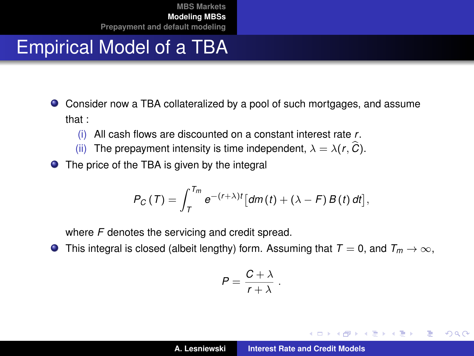## Empirical Model of a TBA

- Consider now a TBA collateralized by a pool of such mortgages, and assume that :
	- (i) All cash flows are discounted on a constant interest rate *r*.
	- (ii) The prepayment intensity is time independent,  $\lambda = \lambda(r, \hat{C})$ .
- The price of the TBA is given by the integral

$$
P_C(T) = \int_T^{T_m} e^{-(r+\lambda)t} \left[ dm(t) + (\lambda - F) B(t) dt \right],
$$

where *F* denotes the servicing and credit spread.

**O** This integral is closed (albeit lengthy) form. Assuming that  $T = 0$ , and  $T_m \to \infty$ ,

$$
P=\frac{C+\lambda}{r+\lambda}.
$$

イロメ イ部メ イ君メ イ君メー

Þ  $2Q$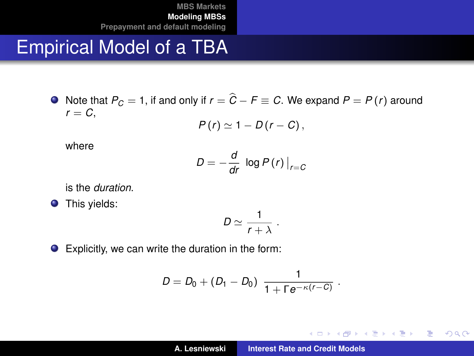#### Empirical Model of a TBA

 $\bullet$  Note that  $P_C = 1$ , if and only if  $r = \hat{C} - F \equiv C$ . We expand  $P = P(r)$  around  $r = C$ ,

$$
P(r) \simeq 1 - D(r - C),
$$

where

$$
D=-\frac{d}{dr}\log P(r)\big|_{r=C}
$$

is the *duration*.

**O** This yields:

$$
D\simeq \frac{1}{r+\lambda}.
$$

Explicitly, we can write the duration in the form:

$$
D = D_0 + (D_1 - D_0) \frac{1}{1 + \Gamma e^{-\kappa(r - C)}}.
$$

イロメ イ部メ イヨメ イヨメー

重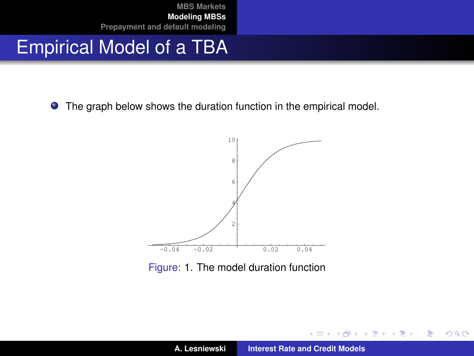#### Empirical Model of a TBA

**•** The graph below shows the duration function in the empirical model.



<span id="page-28-0"></span>Figure: [1.](#page-28-0) The model duration function

イロメ イ部メ イ君メ イ君メー

 $299$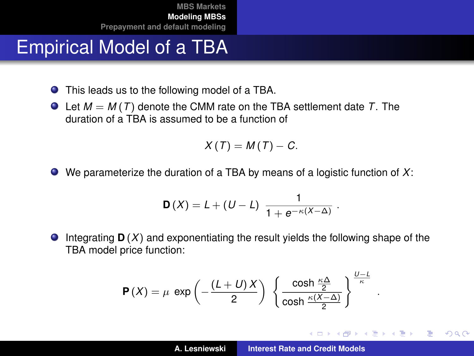## Empirical Model of a TBA

- This leads us to the following model of a TBA.
- $\bullet$  Let  $M = M(T)$  denote the CMM rate on the TBA settlement date T. The duration of a TBA is assumed to be a function of

$$
X(T)=M(T)-C.
$$

We parameterize the duration of a TBA by means of a logistic function of *X*:

$$
D(X) = L + (U - L) \frac{1}{1 + e^{-\kappa(X - \Delta)}}.
$$

 $\bullet$ Integrating **D** (*X*) and exponentiating the result yields the following shape of the TBA model price function:

$$
\mathbf{P}(X) = \mu \exp\left(-\frac{(L+U)X}{2}\right) \left\{\frac{\cosh\frac{\kappa\Delta}{2}}{\cosh\frac{\kappa(X-\Delta)}{2}}\right\}^{\frac{U-L}{\kappa}}
$$

.

重  $2Q$ 

イロメ イ部メ イヨメ イヨメー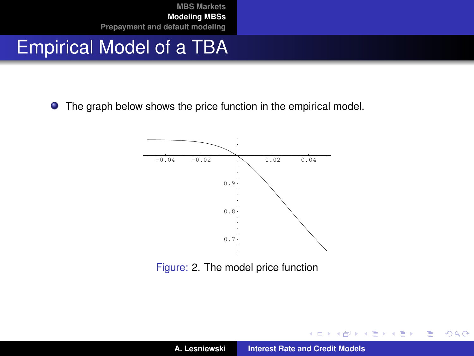## Empirical Model of a TBA

**•** The graph below shows the price function in the empirical model.



<span id="page-30-0"></span>Figure: [2.](#page-30-0) The model price function

イロメ イ部メ イ君メ イ君メー

重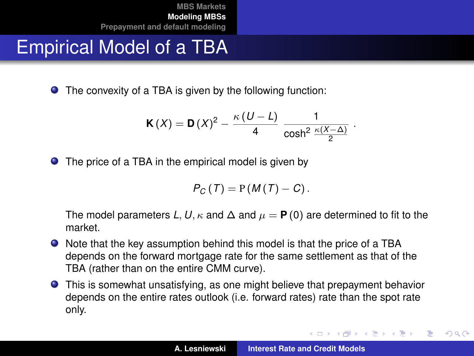## Empirical Model of a TBA

● The convexity of a TBA is given by the following function:

$$
\mathbf{K}(X) = \mathbf{D}(X)^2 - \frac{\kappa (U - L)}{4} \frac{1}{\cosh^2 \frac{\kappa (X - \Delta)}{2}}.
$$

● The price of a TBA in the empirical model is given by

$$
P_C(T) = P(M(T) - C).
$$

The model parameters L, U,  $\kappa$  and  $\Delta$  and  $\mu = P(0)$  are determined to fit to the market.

- Note that the key assumption behind this model is that the price of a TBA depends on the forward mortgage rate for the same settlement as that of the TBA (rather than on the entire CMM curve).
- This is somewhat unsatisfying, as one might believe that prepayment behavior depends on the entire rates outlook (i.e. forward rates) rate than the spot rate only.

イロメ イ部メ イ君メ イ君メー

 $QQ$ 

Þ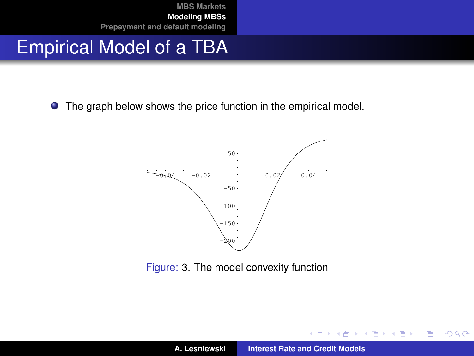### Empirical Model of a TBA

**•** The graph below shows the price function in the empirical model.



<span id="page-32-1"></span>Figure: [3.](#page-32-1) The model convexity function

イロメ イ部メ イヨメ イヨメー

<span id="page-32-0"></span>重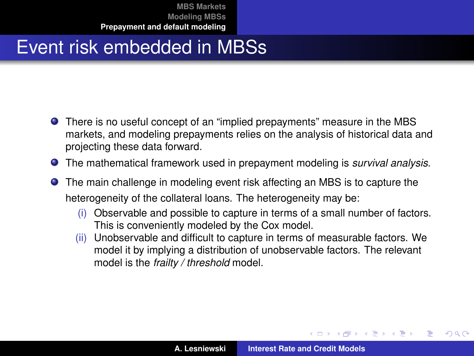## Event risk embedded in MBSs

- There is no useful concept of an "implied prepayments" measure in the MBS markets, and modeling prepayments relies on the analysis of historical data and projecting these data forward.
- The mathematical framework used in prepayment modeling is *survival analysis*.
- The main challenge in modeling event risk affecting an MBS is to capture the heterogeneity of the collateral loans. The heterogeneity may be:
	- (i) Observable and possible to capture in terms of a small number of factors. This is conveniently modeled by the Cox model.
	- (ii) Unobservable and difficult to capture in terms of measurable factors. We model it by implying a distribution of unobservable factors. The relevant model is the *frailty / threshold* model.

イロメ イ部メ イヨメ イヨメー

 $299$ 

<span id="page-33-0"></span>Þ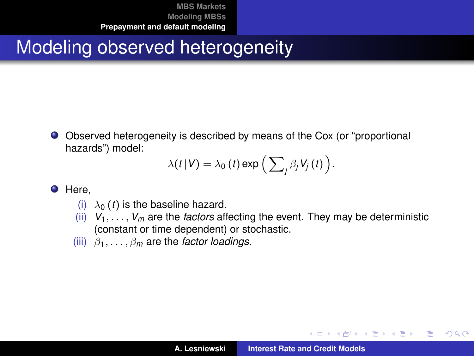## Modeling observed heterogeneity

Observed heterogeneity is described by means of the Cox (or "proportional hazards") model:

$$
\lambda(t|V) = \lambda_0(t) \exp\left(\sum_j \beta_j V_j(t)\right).
$$

**O** Here,

- (i)  $\lambda_0$  (*t*) is the baseline hazard.
- (ii)  $V_1, \ldots, V_m$  are the *factors* affecting the event. They may be deterministic (constant or time dependent) or stochastic.
- (iii)  $\beta_1, \ldots, \beta_m$  are the *factor loadings*.

イロメ イ部メ イヨメ イヨメー

 $299$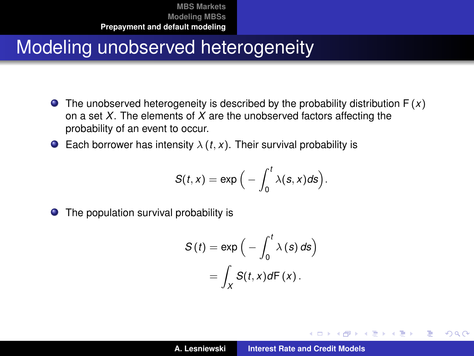## Modeling unobserved heterogeneity

- **•** The unobserved heterogeneity is described by the probability distribution  $F(x)$ on a set *X*. The elements of *X* are the unobserved factors affecting the probability of an event to occur.
- **Each borrower has intensity**  $\lambda$  (*t*, *x*). Their survival probability is

$$
S(t,x)=\exp\Big(-\int_0^t\lambda(s,x)ds\Big).
$$

● The population survival probability is

$$
S(t) = \exp\left(-\int_0^t \lambda(s) \, ds\right)
$$

$$
= \int_X S(t, x) dF(x).
$$

K ロ ▶ K 御 ▶ K 唐 ▶ K 唐 ▶ .

Þ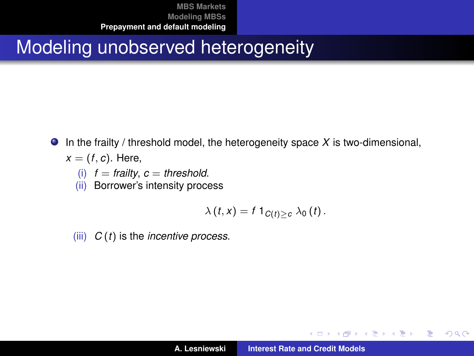## Modeling unobserved heterogeneity

- In the frailty / threshold model, the heterogeneity space *X* is two-dimensional,  $\bullet$ 
	- $x = (f, c)$ . Here,
		- $(i)$   $f =$  *frailty*,  $c =$  *threshold.*
		- (ii) Borrower's intensity process

$$
\lambda(t,x)=f1_{C(t)\geq c}\lambda_0(t).
$$

(iii) *C* (*t*) is the *incentive process*.

イロメ イ部メ イヨメ イヨメー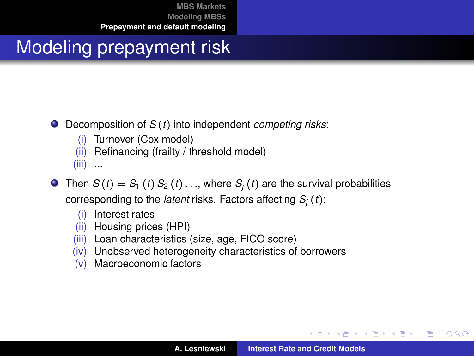# Modeling prepayment risk

#### Decomposition of *S* (*t*) into independent *competing risks*:

- (i) Turnover (Cox model)
- (ii) Refinancing (frailty / threshold model)

 $(iii)$  ...

- **O** Then  $S(t) = S_1(t) S_2(t) \dots$ , where  $S_i(t)$  are the survival probabilities corresponding to the *latent* risks. Factors affecting *S<sup>j</sup>* (*t*):
	- (i) Interest rates
	- (ii) Housing prices (HPI)
	- (iii) Loan characteristics (size, age, FICO score)
	- (iv) Unobserved heterogeneity characteristics of borrowers
	- (v) Macroeconomic factors

イロメ イ部メ イヨメ イヨメー

重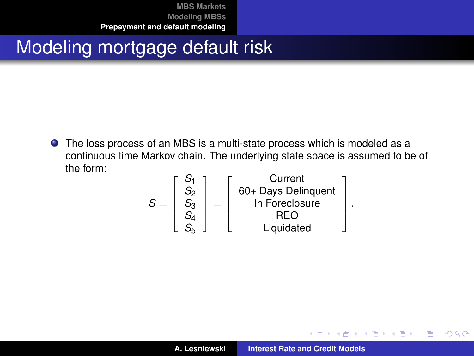## Modeling mortgage default risk

The loss process of an MBS is a multi-state process which is modeled as a continuous time Markov chain. The underlying state space is assumed to be of the form:

$$
S = \begin{bmatrix} S_1 \\ S_2 \\ S_3 \\ S_4 \\ S_5 \end{bmatrix} = \begin{bmatrix} Current \\ 60 + Days Delinquent \\ In Foreclosure \\ RED \\ Key \\ Liquidated \end{bmatrix}
$$

.

イロメ イ部メ イヨメ イヨメー

 $299$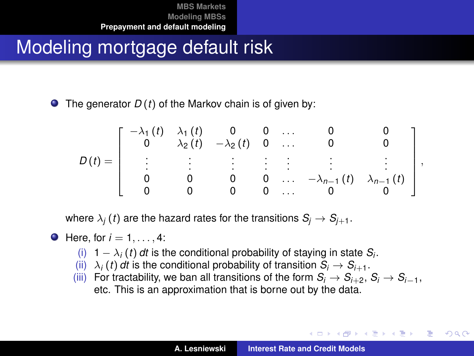## Modeling mortgage default risk

 $\bullet$  The generator  $D(t)$  of the Markov chain is of given by:

$$
D(t) = \left[\begin{array}{ccccc} -\lambda_1(t) & \lambda_1(t) & 0 & 0 & \dots & 0 & 0 \\ 0 & \lambda_2(t) & -\lambda_2(t) & 0 & \dots & 0 & 0 \\ \vdots & \vdots & \vdots & \vdots & \vdots & \vdots & \vdots \\ 0 & 0 & 0 & 0 & \dots & -\lambda_{n-1}(t) & \lambda_{n-1}(t) \\ 0 & 0 & 0 & 0 & \dots & 0 & 0 \end{array}\right],
$$

where  $\lambda_i(t)$  are the hazard rates for the transitions  $S_i \rightarrow S_{i+1}$ .

• Here, for 
$$
i = 1, \ldots, 4
$$
:

- (i) 1 −  $\lambda_i$  (*t*) *dt* is the conditional probability of staying in state  $S_i$ .
- (ii)  $\lambda_i(t)$  *dt* is the conditional probability of transition  $S_i \to S_{i+1}$ .
- (iii) For tractability, we ban all transitions of the form  $S_i \rightarrow S_{i+2}, S_i \rightarrow S_{i-1}$ , etc. This is an approximation that is borne out by the data.

イロメ イ団メ イヨメ イヨメー

B

 $2Q$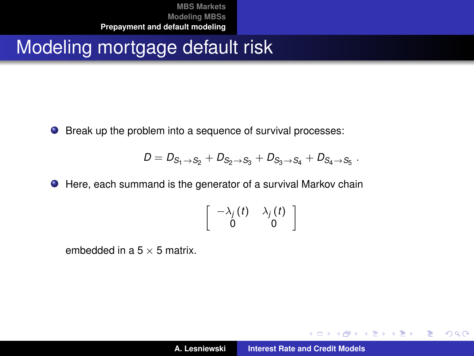## Modeling mortgage default risk

● Break up the problem into a sequence of survival processes:

$$
D=D_{S_1\,\to\,S_2}+D_{S_2\,\to\,S_3}+D_{S_3\,\to\,S_4}+D_{S_4\,\to\,S_5} \ .
$$

● Here, each summand is the generator of a survival Markov chain

$$
\left[\begin{array}{cc} -\lambda_j(t) & \lambda_j(t) \\ 0 & 0 \end{array}\right]
$$

embedded in a  $5 \times 5$  matrix.

イロメ イ部メ イ君メ イ君メー

 $2Q$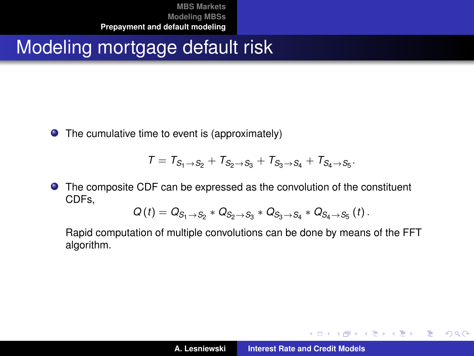## Modeling mortgage default risk

● The cumulative time to event is (approximately)

$$
\mathcal{T} = \mathcal{T}_{S_1 \to S_2} + \mathcal{T}_{S_2 \to S_3} + \mathcal{T}_{S_3 \to S_4} + \mathcal{T}_{S_4 \to S_5}.
$$

The composite CDF can be expressed as the convolution of the constituent CDFs,

$$
Q(t) = Q_{S_1 \to S_2} * Q_{S_2 \to S_3} * Q_{S_3 \to S_4} * Q_{S_4 \to S_5}(t).
$$

Rapid computation of multiple convolutions can be done by means of the FFT algorithm.

イロメ イ部メ イヨメ イヨメー

 $299$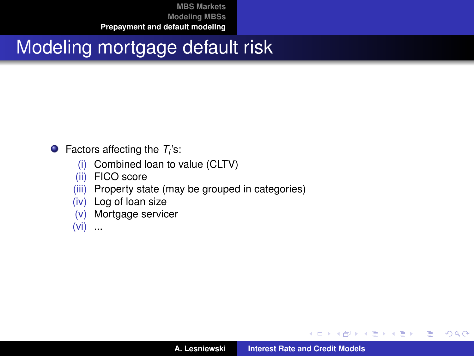## Modeling mortgage default risk

#### Factors affecting the *T<sup>i</sup>* 's:

- (i) Combined loan to value (CLTV)
- (ii) FICO score
- (iii) Property state (may be grouped in categories)
- (iv) Log of loan size
- (v) Mortgage servicer

 $(vi)$  ...

イロメ イ団メ イヨメ イヨメー

 $299$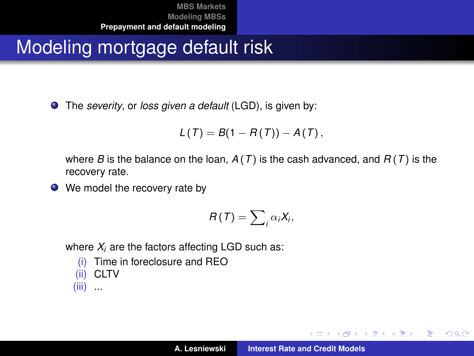## Modeling mortgage default risk

The *severity*, or *loss given a default* (LGD), is given by:

$$
L(T) = B(1 - R(T)) - A(T),
$$

where *B* is the balance on the loan,  $A(T)$  is the cash advanced, and  $B(T)$  is the recovery rate.

● We model the recovery rate by

$$
R(T)=\sum\nolimits_{i}\alpha_{i}X_{i},
$$

where  $X_i$  are the factors affecting LGD such as:

\n- (i) Time in foreclosure and 
$$
HEO
$$
\n- (ii) CLTV
\n- (iii) ...
\n

イロメ イ部メ イヨメ イヨメー

重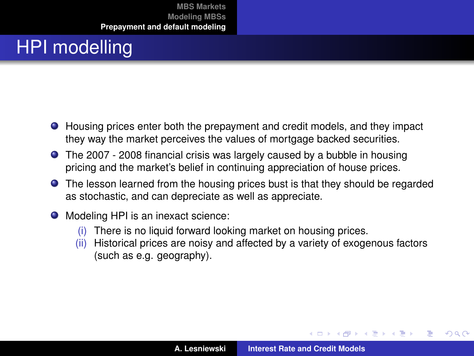# HPI modelling

- Housing prices enter both the prepayment and credit models, and they impact they way the market perceives the values of mortgage backed securities.
- The 2007 2008 financial crisis was largely caused by a bubble in housing pricing and the market's belief in continuing appreciation of house prices.
- **•** The lesson learned from the housing prices bust is that they should be regarded as stochastic, and can depreciate as well as appreciate.
- Modeling HPI is an inexact science:
	- (i) There is no liquid forward looking market on housing prices.
	- (ii) Historical prices are noisy and affected by a variety of exogenous factors (such as e.g. geography).

 $\left\{ \begin{array}{ccc} 1 & 0 & 0 \\ 0 & 1 & 0 \end{array} \right.$ 

 $299$ 

Þ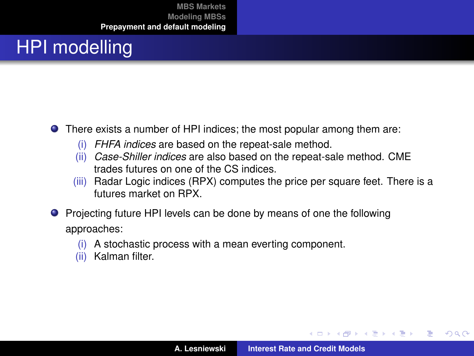# HPI modelling

- There exists a number of HPI indices; the most popular among them are:
	- (i) *FHFA indices* are based on the repeat-sale method.
	- (ii) *Case-Shiller indices* are also based on the repeat-sale method. CME trades futures on one of the CS indices.
	- (iii) Radar Logic indices (RPX) computes the price per square feet. There is a futures market on RPX.
- **Projecting future HPI levels can be done by means of one the following** approaches:
	- (i) A stochastic process with a mean everting component.
	- (ii) Kalman filter.

イロメ イ部メ イ君メ イ君メー

 $299$ 

Þ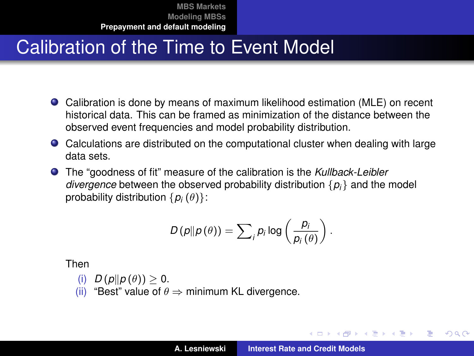## Calibration of the Time to Event Model

- Calibration is done by means of maximum likelihood estimation (MLE) on recent historical data. This can be framed as minimization of the distance between the observed event frequencies and model probability distribution.
- Calculations are distributed on the computational cluster when dealing with large data sets.
- The "goodness of fit" measure of the calibration is the *Kullback-Leibler divergence* between the observed probability distribution  $\{p_i\}$  and the model probability distribution  $\{p_i(\theta)\}$ :

$$
D(p||p(\theta)) = \sum_{i} p_i \log \left(\frac{p_i}{p_i(\theta)}\right).
$$

Then

- (i)  $D(p||p(\theta)) > 0$ .
- (ii) "Best" value of  $\theta \Rightarrow$  minimum KL divergence.

イロメ イ部メ イヨメ イヨメー

÷.

 $QQ$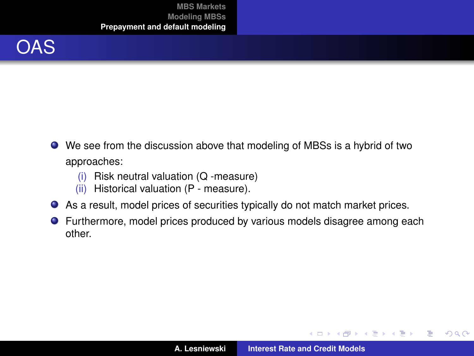

- We see from the discussion above that modeling of MBSs is a hybrid of two approaches:
	- (i) Risk neutral valuation (Q -measure)
	- (ii) Historical valuation (P measure).
- As a result, model prices of securities typically do not match market prices.
- **•** Furthermore, model prices produced by various models disagree among each other.

K ロ ▶ K 御 ▶ K 唐 ▶ K 唐 ▶ .

 $299$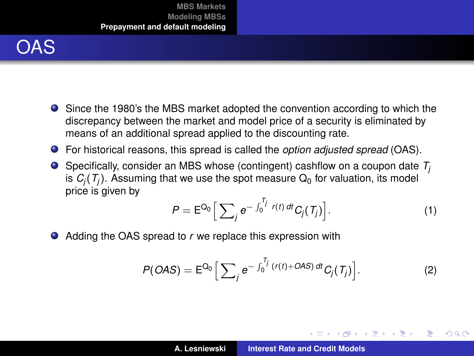

- Since the 1980's the MBS market adopted the convention according to which the discrepancy between the market and model price of a security is eliminated by means of an additional spread applied to the discounting rate.
- For historical reasons, this spread is called the *option adjusted spread* (OAS).
- **O** Specifically, consider an MBS whose (contingent) cashflow on a coupon date  $T_i$ is  $C_i(T_i)$ . Assuming that we use the spot measure  $Q_0$  for valuation, its model price is given by

$$
P = \mathsf{E}^{Q_0} \Big[ \sum_j e^{-\int_0^{T_j} r(t) dt} C_j(T_j) \Big]. \tag{1}
$$

イロメ イ部メ イ君メ イ君メー

Þ

 $298$ 

● Adding the OAS spread to *r* we replace this expression with

$$
P(OAS) = E^{Q_0} \Big[ \sum_j e^{-\int_0^{T_j} (r(t) + OAS) dt} C_j(T_j) \Big].
$$
 (2)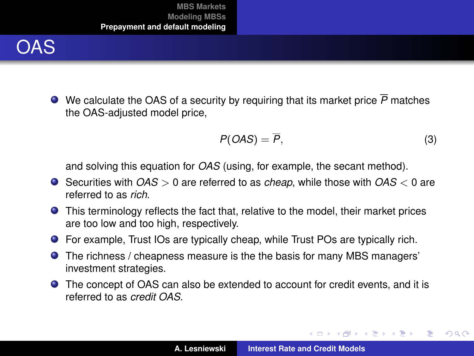

We calculate the OAS of a security by requiring that its market price *P* matches the OAS-adjusted model price,

$$
P(OAS) = \overline{P}, \tag{3}
$$

イロメ イ部メ イヨメ イヨメー

 $299$ 

重

and solving this equation for *OAS* (using, for example, the secant method).

- Securities with *OAS* > 0 are referred to as *cheap*, while those with *OAS* < 0 are referred to as *rich*.
- This terminology reflects the fact that, relative to the model, their market prices are too low and too high, respectively.
- For example, Trust IOs are typically cheap, while Trust POs are typically rich.
- The richness / cheapness measure is the the basis for many MBS managers' investment strategies.
- The concept of OAS can also be extended to account for credit events, and it is referred to as *credit OAS*.